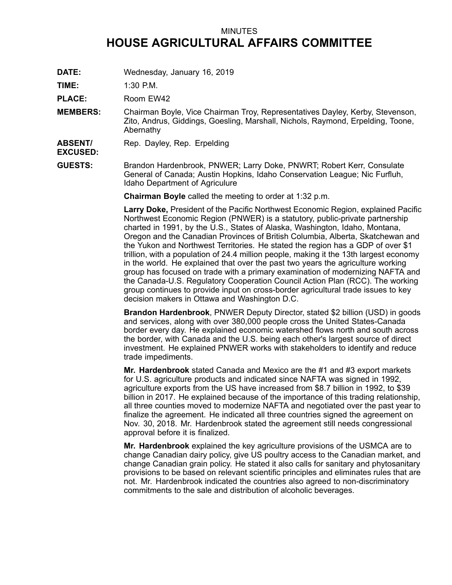## MINUTES **HOUSE AGRICULTURAL AFFAIRS COMMITTEE**

**DATE:** Wednesday, January 16, 2019

**TIME:** 1:30 P.M.

PLACE: Room EW42

**MEMBERS:** Chairman Boyle, Vice Chairman Troy, Representatives Dayley, Kerby, Stevenson, Zito, Andrus, Giddings, Goesling, Marshall, Nichols, Raymond, Erpelding, Toone, Abernathy

**ABSENT/** Rep. Dayley, Rep. Erpelding

**EXCUSED:**

**GUESTS:** Brandon Hardenbrook, PNWER; Larry Doke, PNWRT; Robert Kerr, Consulate General of Canada; Austin Hopkins, Idaho Conservation League; Nic Furfluh, Idaho Department of Agriculure

**Chairman Boyle** called the meeting to order at 1:32 p.m.

**Larry Doke,** President of the Pacific Northwest Economic Region, explained Pacific Northwest Economic Region (PNWER) is <sup>a</sup> statutory, public-private partnership charted in 1991, by the U.S., States of Alaska, Washington, Idaho, Montana, Oregon and the Canadian Provinces of British Columbia, Alberta, Skatchewan and the Yukon and Northwest Territories. He stated the region has <sup>a</sup> GDP of over \$1 trillion, with <sup>a</sup> population of 24.4 million people, making it the 13th largest economy in the world. He explained that over the past two years the agriculture working group has focused on trade with <sup>a</sup> primary examination of modernizing NAFTA and the Canada-U.S. Regulatory Cooperation Council Action Plan (RCC). The working group continues to provide input on cross-border agricultural trade issues to key decision makers in Ottawa and Washington D.C.

**Brandon Hardenbrook**, PNWER Deputy Director, stated \$2 billion (USD) in goods and services, along with over 380,000 people cross the United States-Canada border every day. He explained economic watershed flows north and south across the border, with Canada and the U.S. being each other's largest source of direct investment. He explained PNWER works with stakeholders to identify and reduce trade impediments.

**Mr. Hardenbrook** stated Canada and Mexico are the #1 and #3 export markets for U.S. agriculture products and indicated since NAFTA was signed in 1992, agriculture exports from the US have increased from \$8.7 billion in 1992, to \$39 billion in 2017. He explained because of the importance of this trading relationship, all three counties moved to modernize NAFTA and negotiated over the past year to finalize the agreement. He indicated all three countries signed the agreement on Nov. 30, 2018. Mr. Hardenbrook stated the agreement still needs congressional approval before it is finalized.

**Mr. Hardenbrook** explained the key agriculture provisions of the USMCA are to change Canadian dairy policy, give US poultry access to the Canadian market, and change Canadian grain policy. He stated it also calls for sanitary and phytosanitary provisions to be based on relevant scientific principles and eliminates rules that are not. Mr. Hardenbrook indicated the countries also agreed to non-discriminatory commitments to the sale and distribution of alcoholic beverages.